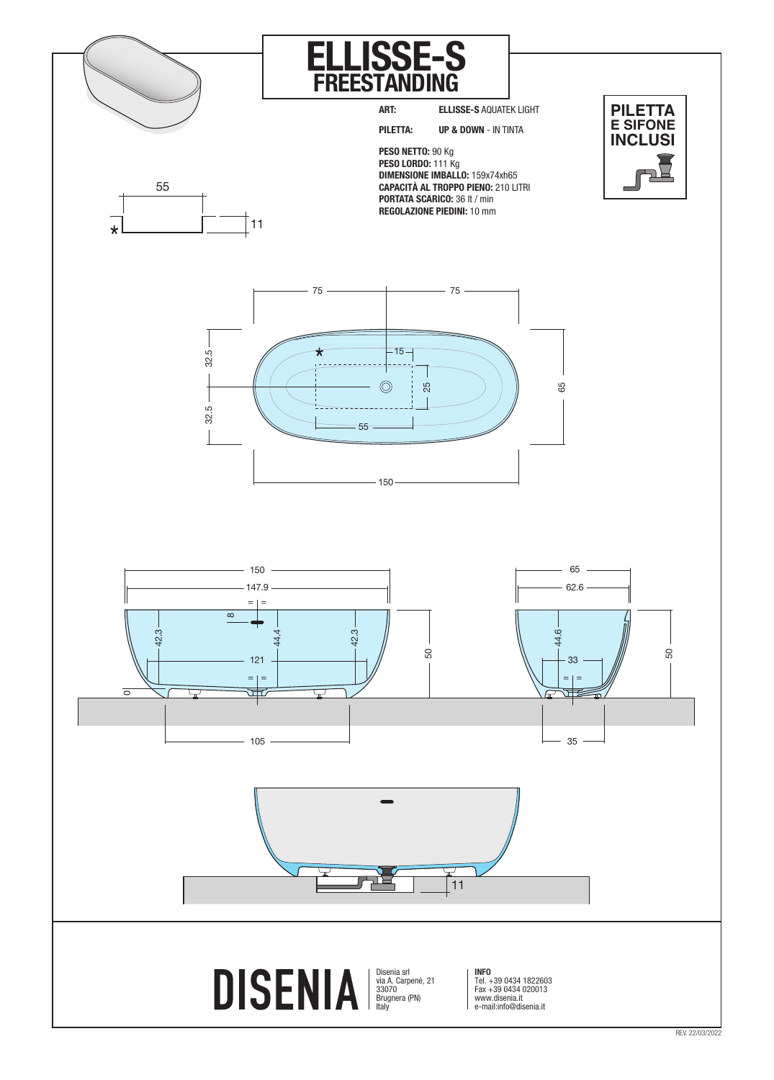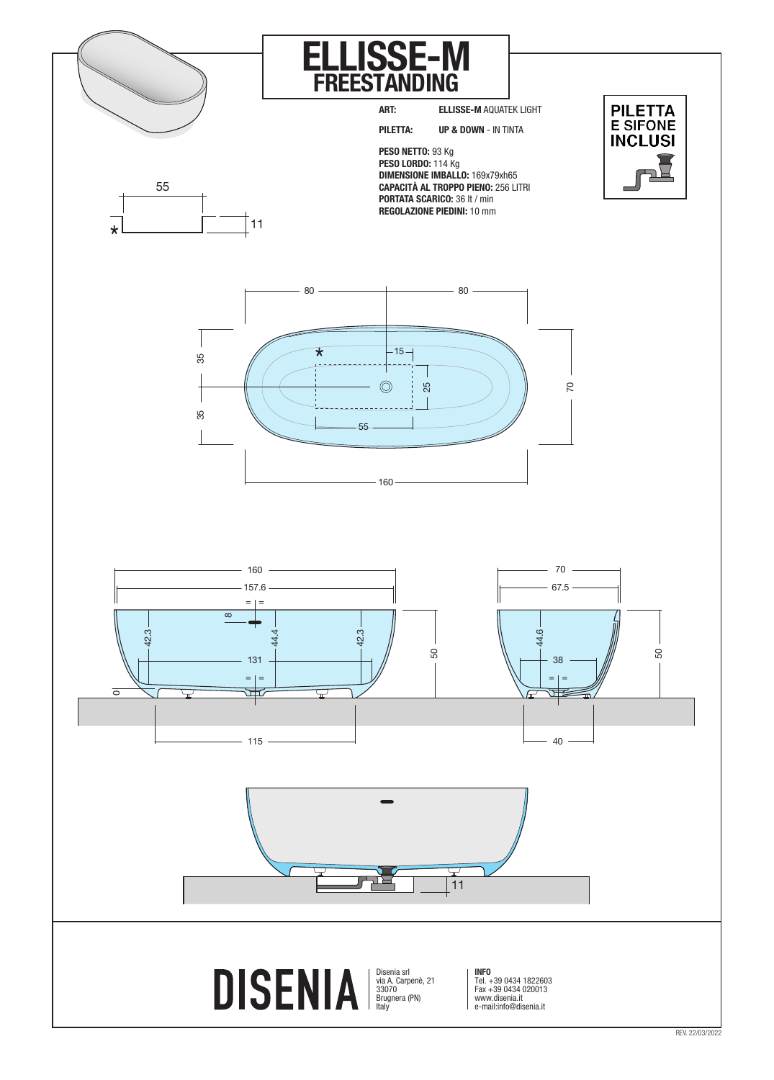